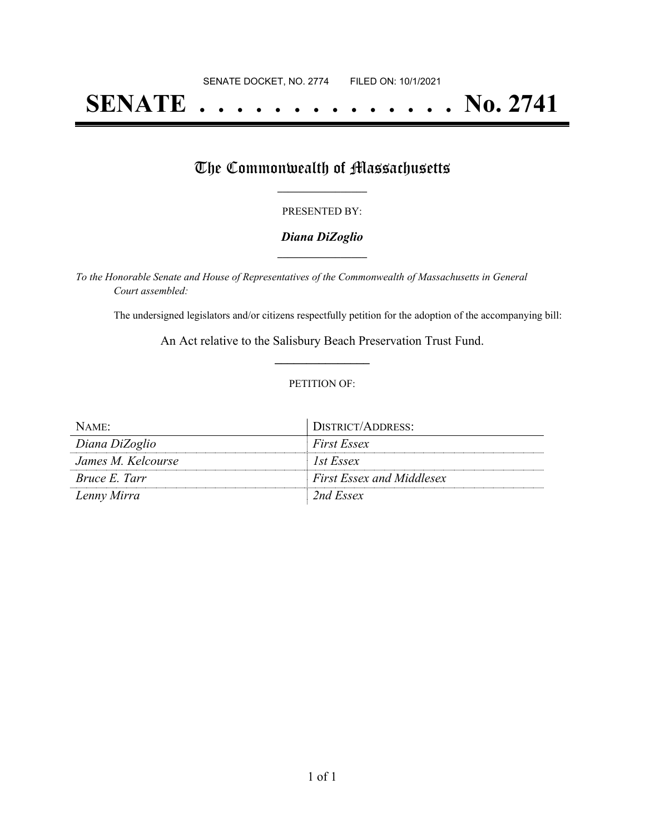# **SENATE . . . . . . . . . . . . . . No. 2741**

## The Commonwealth of Massachusetts

#### PRESENTED BY:

#### *Diana DiZoglio* **\_\_\_\_\_\_\_\_\_\_\_\_\_\_\_\_\_**

*To the Honorable Senate and House of Representatives of the Commonwealth of Massachusetts in General Court assembled:*

The undersigned legislators and/or citizens respectfully petition for the adoption of the accompanying bill:

An Act relative to the Salisbury Beach Preservation Trust Fund. **\_\_\_\_\_\_\_\_\_\_\_\_\_\_\_**

#### PETITION OF:

| NAME:                | DISTRICT/ADDRESS:                |
|----------------------|----------------------------------|
| Diana DiZoglio       | <b>First Essex</b>               |
| James M. Kelcourse   | 1st Essex                        |
| <i>Bruce E. Tarr</i> | <b>First Essex and Middlesex</b> |
| Lenny Mirra          | 2nd Essex                        |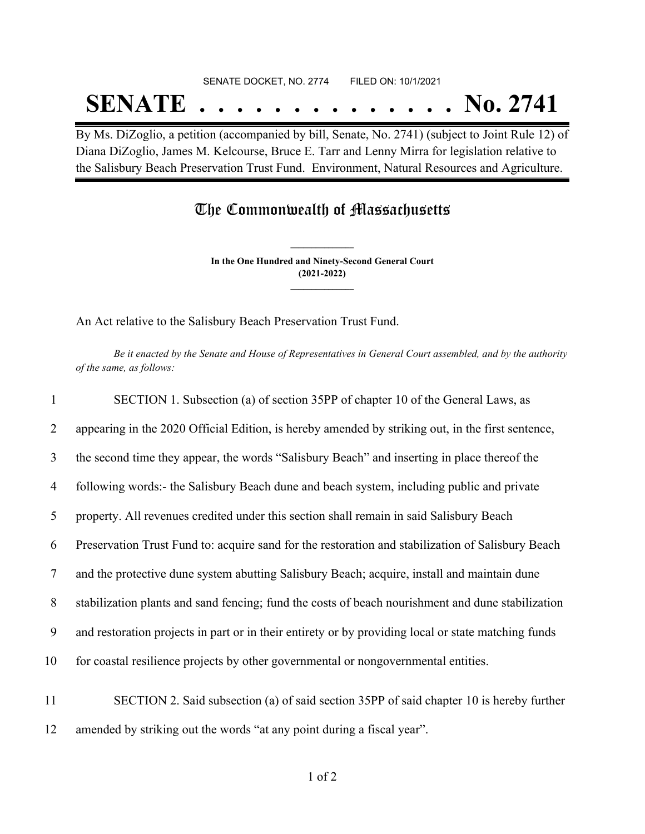# SENATE DOCKET, NO. 2774 FILED ON: 10/1/2021 **SENATE . . . . . . . . . . . . . . No. 2741**

By Ms. DiZoglio, a petition (accompanied by bill, Senate, No. 2741) (subject to Joint Rule 12) of Diana DiZoglio, James M. Kelcourse, Bruce E. Tarr and Lenny Mirra for legislation relative to the Salisbury Beach Preservation Trust Fund. Environment, Natural Resources and Agriculture.

### The Commonwealth of Massachusetts

**In the One Hundred and Ninety-Second General Court (2021-2022) \_\_\_\_\_\_\_\_\_\_\_\_\_\_\_**

**\_\_\_\_\_\_\_\_\_\_\_\_\_\_\_**

An Act relative to the Salisbury Beach Preservation Trust Fund.

Be it enacted by the Senate and House of Representatives in General Court assembled, and by the authority *of the same, as follows:*

| $\mathbf{1}$   | SECTION 1. Subsection (a) of section 35PP of chapter 10 of the General Laws, as                     |
|----------------|-----------------------------------------------------------------------------------------------------|
| $\overline{2}$ | appearing in the 2020 Official Edition, is hereby amended by striking out, in the first sentence,   |
| 3              | the second time they appear, the words "Salisbury Beach" and inserting in place thereof the         |
| $\overline{4}$ | following words:- the Salisbury Beach dune and beach system, including public and private           |
| 5              | property. All revenues credited under this section shall remain in said Salisbury Beach             |
| 6              | Preservation Trust Fund to: acquire sand for the restoration and stabilization of Salisbury Beach   |
| $\tau$         | and the protective dune system abutting Salisbury Beach; acquire, install and maintain dune         |
| 8              | stabilization plants and sand fencing; fund the costs of beach nourishment and dune stabilization   |
| 9              | and restoration projects in part or in their entirety or by providing local or state matching funds |
| 10             | for coastal resilience projects by other governmental or nongovernmental entities.                  |
| 11             | SECTION 2. Said subsection (a) of said section 35PP of said chapter 10 is hereby further            |
|                |                                                                                                     |

12 amended by striking out the words "at any point during a fiscal year".